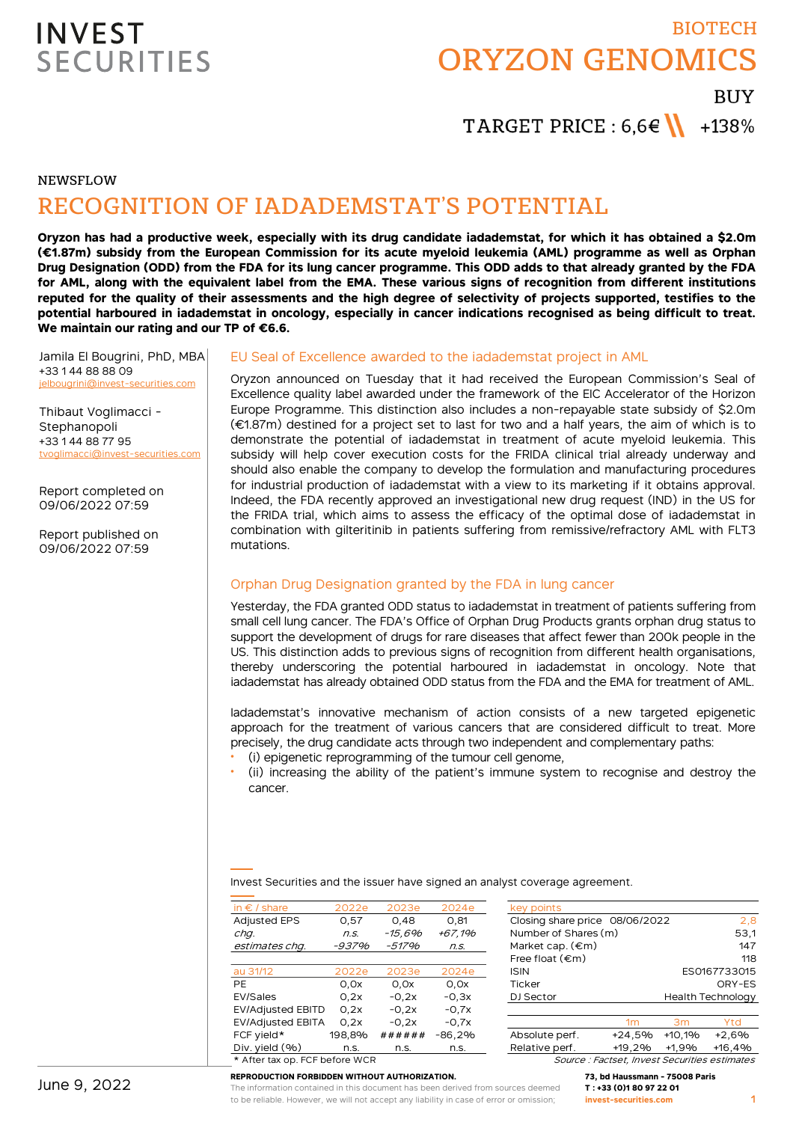# BIOTECH ORYZON GENOMICS **BUY**

TARGET PRICE :  $6.6 \in \mathbb{N}$  +138%

NEWSFLOW

# RECOGNITION OF IADADEMSTAT'S POTENTIAL

**Oryzon has had a productive week, especially with its drug candidate iadademstat, for which it has obtained a \$2.0m (€1.87m) subsidy from the European Commission for its acute myeloid leukemia (AML) programme as well as Orphan Drug Designation (ODD) from the FDA for its lung cancer programme. This ODD adds to that already granted by the FDA for AML, along with the equivalent label from the EMA. These various signs of recognition from different institutions reputed for the quality of their assessments and the high degree of selectivity of projects supported, testifies to the potential harboured in iadademstat in oncology, especially in cancer indications recognised as being difficult to treat. We maintain our rating and our TP of €6.6.**

Jamila El Bougrini, PhD, MBA +33 1 44 88 88 09 jelbougrini@invest-securities.com

Thibaut Voglimacci - Stephanopoli +33 1 44 88 77 95 tvoglimacci@invest-securities.com

Report completed on 09/06/2022 07:59

Report published on 09/06/2022 07:59

### EU Seal of Excellence awarded to the iadademstat project in AML

Oryzon announced on Tuesday that it had received the European Commission's Seal of Excellence quality label awarded under the framework of the EIC Accelerator of the Horizon Europe Programme. This distinction also includes a non-repayable state subsidy of \$2.0m (€1.87m) destined for a project set to last for two and a half years, the aim of which is to demonstrate the potential of iadademstat in treatment of acute myeloid leukemia. This subsidy will help cover execution costs for the FRIDA clinical trial already underway and should also enable the company to develop the formulation and manufacturing procedures for industrial production of iadademstat with a view to its marketing if it obtains approval. Indeed, the FDA recently approved an investigational new drug request (IND) in the US for the FRIDA trial, which aims to assess the efficacy of the optimal dose of iadademstat in combination with gilteritinib in patients suffering from remissive/refractory AML with FLT3 mutations.

### Orphan Drug Designation granted by the FDA in lung cancer

Yesterday, the FDA granted ODD status to iadademstat in treatment of patients suffering from small cell lung cancer. The FDA's Office of Orphan Drug Products grants orphan drug status to support the development of drugs for rare diseases that affect fewer than 200k people in the US. This distinction adds to previous signs of recognition from different health organisations, thereby underscoring the potential harboured in iadademstat in oncology. Note that iadademstat has already obtained ODD status from the FDA and the EMA for treatment of AML.

Iadademstat's innovative mechanism of action consists of a new targeted epigenetic approach for the treatment of various cancers that are considered difficult to treat. More precisely, the drug candidate acts through two independent and complementary paths:

- (i) epigenetic reprogramming of the tumour cell genome,
- (ii) increasing the ability of the patient's immune system to recognise and destroy the cancer.

Invest Securities and the issuer have signed an analyst coverage agreement.

| in $\epsilon$ / share                        | 2022e  | 2023e   | 2024e    | key points                     |                |          |                          |
|----------------------------------------------|--------|---------|----------|--------------------------------|----------------|----------|--------------------------|
| <b>Adjusted EPS</b>                          | 0.57   | 0.48    | 0.81     | Closing share price 08/06/2022 |                |          | 2,8                      |
| chq.                                         | n.S.   | -15.6%  | +67.1%   | Number of Shares (m)           |                |          | 53,1                     |
| estimates chq.                               | -937%  | -517%   | n.s.     | Market cap. $(\epsilon m)$     |                |          | 147                      |
|                                              |        |         |          | Free float $(\epsilon m)$      |                |          | 118                      |
| au 31/12                                     | 2022e  | 2023e   | 2024e    | <b>ISIN</b>                    |                |          | ES0167733015             |
| <b>PE</b>                                    | 0.0x   | 0.0x    | 0.0x     | Ticker                         |                |          | ORY-ES                   |
| EV/Sales                                     | 0.2x   | $-0.2x$ | $-0.3x$  | DJ Sector                      |                |          | <b>Health Technology</b> |
| <b>EV/Adjusted EBITD</b>                     | 0.2x   | $-0.2x$ | $-0.7x$  |                                |                |          |                          |
| <b>EV/Adjusted EBITA</b>                     | 0.2x   | $-0.2x$ | $-0.7x$  |                                | 1 <sub>m</sub> | 3m       | Ytd                      |
| FCF yield*                                   | 198.8% | ######  | $-86,2%$ | Absolute perf.                 | $+24,5%$       | $+10.1%$ | $+2,6%$                  |
| Div. yield $(% )$                            | n.s.   | n.s.    | n.s.     | Relative perf.                 | $+19.2%$       | +1.9%    | $+16.4%$                 |
| + A ft = = + = = = FOF   = = f = - = 1 A IOD |        |         |          |                                |                |          |                          |

**REPRODUCTION FORBIDDEN WITHOUT AUTHORIZATION.**

|  |  |  |  |  | * After tax op. FCF before WCR |  |
|--|--|--|--|--|--------------------------------|--|
|--|--|--|--|--|--------------------------------|--|

| key points                     |                          |
|--------------------------------|--------------------------|
| Closing share price 08/06/2022 | 2.8                      |
| Number of Shares (m)           | 53,1                     |
| Market cap. $(\epsilon m)$     | 147                      |
| Free float $(\epsilon m)$      | 118                      |
| <b>ISIN</b>                    | ES0167733015             |
| Ticker                         | ORY-ES                   |
| DJ Sector                      | <b>Health Technology</b> |
|                                |                          |
|                                |                          |

Source : Factset, Invest Securities estimates

**73, bd Haussmann - 75008 Paris T : +33 (0)1 80 97 22 01 invest-securities.com**

The information contained in this document has been derived from sources deemed to be reliable. However, we will not accept any liability in case of error or omission;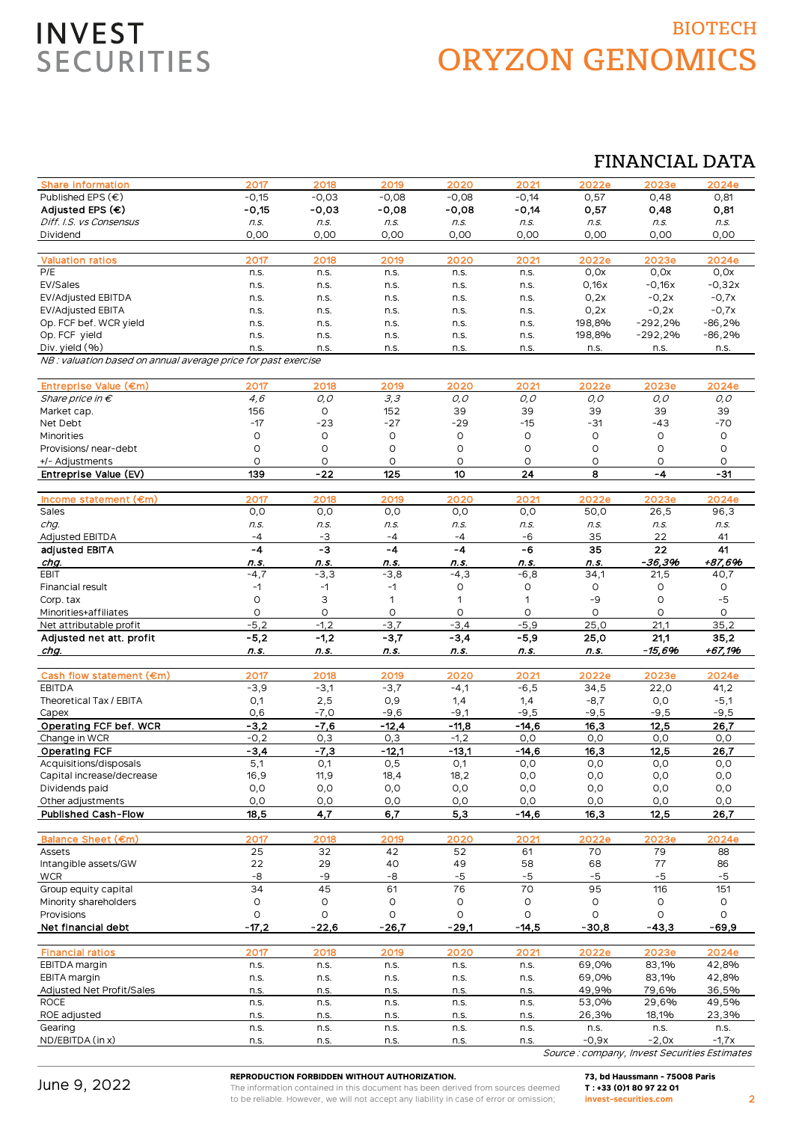# BIOTECH ORYZON GENOMICS

## FINANCIAL DATA

| <b>Share information</b>                                       | 2017           | 2018           | 2019           | 2020           | 2021           | 2022e          | 2023e          | 2024e             |
|----------------------------------------------------------------|----------------|----------------|----------------|----------------|----------------|----------------|----------------|-------------------|
| Published EPS $(\epsilon)$                                     | $-0,15$        | $-0,03$        | $-0,08$        | $-0,08$        | $-0,14$        | 0,57           | 0,48           | 0,81              |
| Adjusted EPS (€)                                               | $-0,15$        | $-0,03$        | $-0,08$        | $-0,08$        | $-0,14$        | 0,57           | 0,48           | 0,81              |
| Diff. I.S. vs Consensus                                        | n.S.           | n.S.           | n.s.           | n.s.           | n.s.           | n.S.           | n.S.           | n.s.              |
| Dividend                                                       | 0,00           | 0,00           | 0,00           | 0,00           | 0,00           | 0,00           | 0,00           | 0,00              |
|                                                                |                |                |                |                |                |                |                |                   |
| <b>Valuation ratios</b>                                        | 2017           | 2018           | 2019           | 2020           | 202'           | 2022e          | 2023e          | 2024e             |
| P/E                                                            | n.s.           | n.s.           | n.s.           | n.s.           | n.s.           | 0,0x           | 0,0x           | 0,0x              |
| EV/Sales                                                       | n.s.           | n.s.           | n.s.           | n.s.           | n.s.           | 0,16x          | $-0,16x$       | $-0,32x$          |
| <b>EV/Adjusted EBITDA</b>                                      | n.s.           | n.s.           | n.s.           | n.s.           | n.s.           | 0,2x           | $-0,2x$        | $-0,7x$           |
| <b>EV/Adjusted EBITA</b>                                       | n.s.           | n.s.           | n.s.           | n.s.           | n.s.           | 0,2x           | $-0,2x$        | $-0,7x$           |
| Op. FCF bef. WCR yield<br>Op. FCF yield                        | n.s.           | n.s.           | n.s.           | n.s.           | n.s.           | 198,8%         | -292,2%        | $-86,2%$          |
| Div. yield (%)                                                 | n.s.<br>n.s.   | n.s.<br>n.s.   | n.s.<br>n.s.   | n.s.           | n.s.<br>n.s.   | 198,8%         | $-292,2%$      | $-86,2%$          |
| NB : valuation based on annual average price for past exercise |                |                |                | n.s.           |                | n.s.           | n.s.           | n.s.              |
|                                                                |                |                |                |                |                |                |                |                   |
| Entreprise Value (€m)                                          | 2017           | 2018           | 2019           | 2020           | 2021           | 2022e          | 2023e          | 2024e             |
| Share price in $\epsilon$                                      | 4,6            | O, O           | 3,3            | O, O           | $O, O$         | 0,0            | 0,0            | 0,0               |
| Market cap.                                                    | 156            | O              | 152            | 39             | 39             | 39             | 39             | 39                |
| Net Debt                                                       | $-17$          | $-23$          | $-27$          | $-29$          | $-15$          | $-31$          | -43            | $-70$             |
| Minorities                                                     | O              | O              | O              | 0              | $\circ$        | $\circ$        | O              | 0                 |
| Provisions/ near-debt                                          | 0              | O              | O              | O              | $\circ$        | O              | $\circ$        | O                 |
| +/- Adjustments                                                | 0              | O              | O              | O              | O              | 0              | $\circ$        | 0                 |
| Entreprise Value (EV)                                          | 139            | $-22$          | 125            | 10             | 24             | 8              | $-4$           | $-31$             |
|                                                                |                |                |                |                |                |                |                |                   |
| Income statement (€m)                                          | 2017           | 2018           | 2019           | 2020           | 2021           | 2022e          | 2023e          | 2024e             |
| Sales                                                          | 0,0            | O, O           | O, O           | O, O           | O, O           | 50,0           | 26,5           | 96,3              |
| chg.                                                           | n.s.           | n.s.           | n.s.           | n.s.           | n.s.           | n.s.           | n.s.           | n.s.              |
| <b>Adjusted EBITDA</b><br>adjusted EBITA                       | $-4$<br>$-4$   | -3<br>-3       | $-4$<br>$-4$   | $-4$<br>$-4$   | $-6$<br>-6     | 35<br>35       | 22<br>22       | 41<br>41          |
| chg.                                                           | n.s.           | n.s.           | n.s.           | n.s.           | n.s.           | n.s.           | $-36,396$      | +87,696           |
| <b>EBIT</b>                                                    | $-4,7$         | $-3,3$         | $-3,8$         | $-4,3$         | $-6,8$         | 34,1           | 21,5           | 40,7              |
| Financial result                                               | $-1$           | $-1$           | $-1$           | O              | $\circ$        | $\circ$        | 0              | O                 |
| Corp. tax                                                      | O              | З              | 1              | 1              | 1              | -9             | O              | $-5$              |
| Minorities+affiliates                                          | O              | O              | O              | O              | O              | O              | O              | O                 |
|                                                                |                |                |                |                |                |                |                |                   |
|                                                                | $-5,2$         | $-1,2$         | $-3,7$         |                | $-5,9$         |                |                | 35,2              |
| Net attributable profit<br>Adjusted net att. profit            |                |                |                | $-3,4$         |                | 25,0<br>25,0   | 21,1<br>21,1   |                   |
| chg.                                                           | $-5,2$<br>n.s. | $-1,2$<br>n.s. | $-3,7$<br>n.s. | $-3,4$<br>n.s. | $-5,9$<br>n.s. | n.s.           | $-15,696$      | 35,2<br>$+67,196$ |
|                                                                |                |                |                |                |                |                |                |                   |
| Cash flow statement (€m)                                       | 2017           | 2018           | 2019           | 2020           | 2021           | 2022e          | 2023e          | 2024e             |
| <b>EBITDA</b>                                                  | $-3,9$         | $-3,1$         | $-3,7$         | $-4,1$         | $-6,5$         | 34,5           | 22,0           | 41,2              |
| Theoretical Tax / EBITA                                        | 0,1            | 2,5            | 0,9            | 1,4            | 1,4            | $-8,7$         | 0,0            | $-5,1$            |
| Capex                                                          | 0,6            | $-7,0$         | $-9,6$         | $-9,1$         | $-9,5$         | $-9,5$         | $-9,5$         | $-9,5$            |
| Operating FCF bef. WCR                                         | $-3,2$         | $-7,6$         | $-12,4$        | $-11,8$        | $-14,6$        | 16,3           | 12,5           | 26,7              |
| Change in WCR                                                  | $-0,2$         | 0,3            | 0,3            | $-1,2$         | 0,0            | 0,0            | 0,0            | 0,0               |
| <b>Operating FCF</b>                                           | $-3,4$         | $-7,3$         | $-12,1$        | $-13,1$        | -14,6          | <u>16,3</u>    | 12,5           | 26,7              |
| Acquisitions/disposals                                         | 5,1            | O,1            | 0,5            | 0,1            | 0,0            | 0,0            | 0,0            | 0,0               |
| Capital increase/decrease                                      | 16,9           | 11,9           | 18,4           | 18,2           | O, O           | 0,0            | 0,0            | 0,0               |
| Dividends paid                                                 | O, O           | O, O           | 0,0            | O,O            | 0,0            | 0,0            | 0,0            | 0,0               |
| Other adjustments                                              | 0,0<br>18,5    | 0,0            | O, O<br>6,7    | 0,0            | 0,0            | 0,0            | 0,0            | 0,0               |
| <b>Published Cash-Flow</b>                                     |                | 4,7            |                | 5,3            | $-14,6$        | 16,3           | 12,5           | 26,7              |
| Balance Sheet (€m)                                             | 2017           | 2018           | 2019           | 2020           | 2021           | 2022e          | 2023e          | 2024e             |
| Assets                                                         | 25             | 32             | 42             | 52             | 61             | 70             | 79             | 88                |
| Intangible assets/GW                                           | 22             | 29             | 40             | 49             | 58             | 68             | 77             | 86                |
| <b>WCR</b>                                                     | -8             | -9             | -8             | $-5$           | $-5$           | $-5$           | $-5$           | $-5$              |
| Group equity capital                                           | 34             | 45             | 61             | 76             | 70             | 95             | 116            | 151               |
| Minority shareholders                                          | 0              | O              | O              | O              | O              | O              | 0              | 0                 |
| Provisions                                                     | O              | O              | O              | O              | $\circ$        | $\circ$        | $\circ$        | O                 |
| Net financial debt                                             | $-17,2$        | $-22,6$        | $-26,7$        | $-29,1$        | $-14,5$        | $-30,8$        | $-43,3$        | $-69,9$           |
|                                                                |                |                |                |                |                |                |                |                   |
| <b>Financial ratios</b>                                        | 2017           | 2018           | 2019           | 2020           | 2021           | 2022e          | 2023e          | 2024e             |
| EBITDA margin                                                  | n.s.           | n.s.           | n.s.           | n.s.           | n.s.           | 69,0%          | 83,1%          | 42,8%             |
| EBITA margin                                                   | n.s.           | n.s.           | n.s.           | n.s.           | n.s.           | 69,0%          | 83,1%          | 42,8%             |
| Adjusted Net Profit/Sales<br><b>ROCE</b>                       | n.s.<br>n.s.   | n.s.<br>n.s.   | n.s.<br>n.s.   | n.s.<br>n.s.   | n.s.<br>n.s.   | 49,9%<br>53,0% | 79,6%<br>29,6% | 36,5%             |
| ROE adjusted                                                   | n.s.           | n.s.           | n.s.           | n.s.           | n.s.           | 26,3%          | 18,1%          | 49,5%<br>23,3%    |
| Gearing                                                        | n.s.           | n.s.           | n.s.           | n.s.           | n.s.           | n.s.           | n.s.           | n.s.              |
| ND/EBITDA (in x)                                               | n.s.           | n.s.           | n.s.           | n.s.           | n.s.           | $-0,9x$        | $-2,0x$        | $-1,7x$           |

June 9, 2022

#### **REPRODUCTION FORBIDDEN WITHOUT AUTHORIZATION.**

The information contained in this document has been derived from sources deemed to be reliable. However, we will not accept any liability in case of error or omission;

**73, bd Haussmann - 75008 Paris T : +33 (0)1 80 97 22 01 invest-securities.com**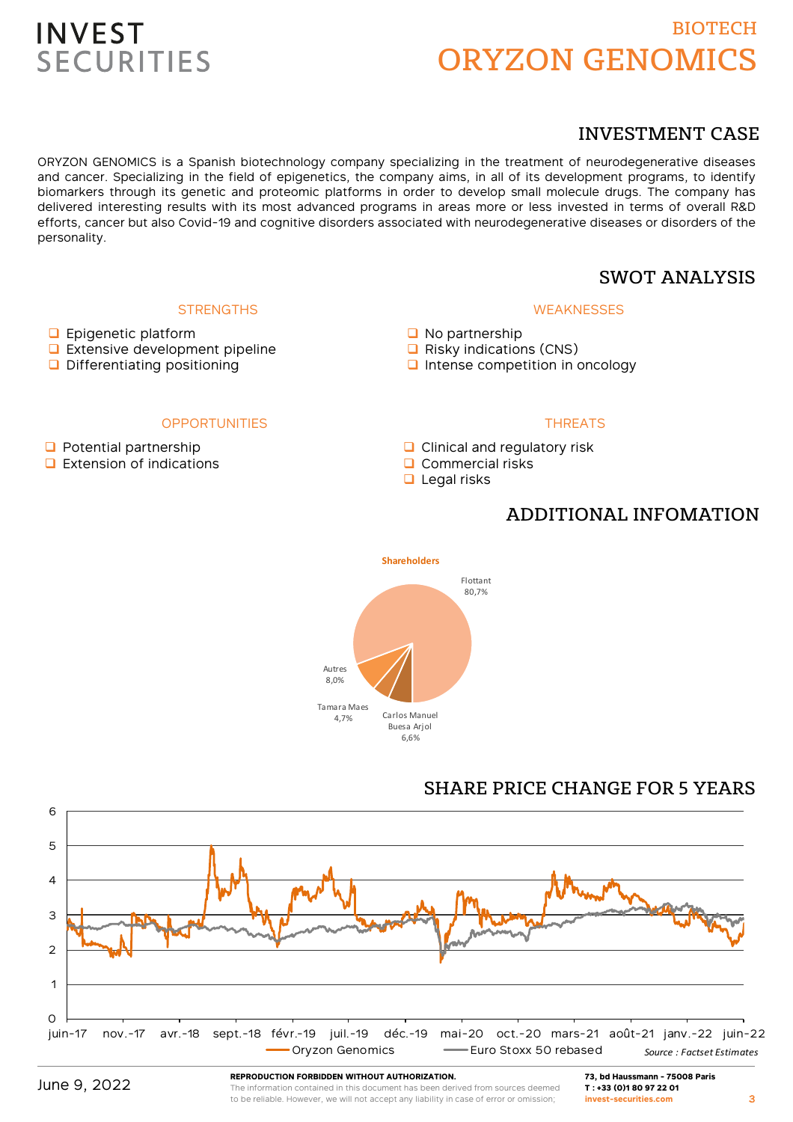# BIOTECH ORYZON GENOMICS

## INVESTMENT CASE

ORYZON GENOMICS is a Spanish biotechnology company specializing in the treatment of neurodegenerative diseases and cancer. Specializing in the field of epigenetics, the company aims, in all of its development programs, to identify biomarkers through its genetic and proteomic platforms in order to develop small molecule drugs. The company has delivered interesting results with its most advanced programs in areas more or less invested in terms of overall R&D efforts, cancer but also Covid-19 and cognitive disorders associated with neurodegenerative diseases or disorders of the personality.

## SWOT ANALYSIS

### **WEAKNESSES**

- No partnership
- $\Box$  Risky indications (CNS)
- $\Box$  Intense competition in oncology

### **OPPORTUNITIES**

**STRENGTHS** 

 $\Box$  Potential partnership

**D** Epigenetic platform

**Extensive development pipeline** D Differentiating positioning

 $\Box$  Extension of indications

## THREATS

- **Q** Clinical and regulatory risk
- $\Box$  Commercial risks
- $\Box$  Legal risks

## ADDITIONAL INFOMATION



## SHARE PRICE CHANGE FOR 5 YEARS



**REPRODUCTION FORBIDDEN WITHOUT AUTHORIZATION.**

The information contained in this document has been derived from sources deemed to be reliable. However, we will not accept any liability in case of error or omission;

**73, bd Haussmann - 75008 Paris T : +33 (0)1 80 97 22 01 invest-securities.com**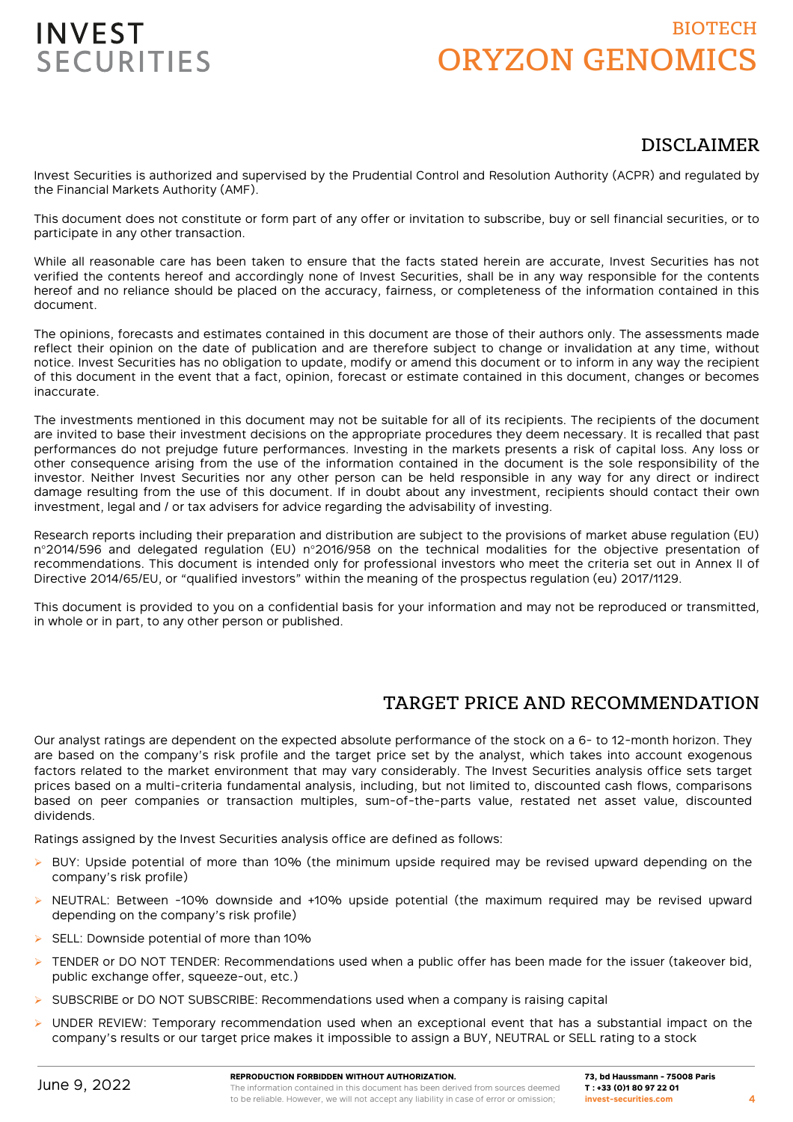# BIOTECH ORYZON GENOMICS

## DISCLAIMER

Invest Securities is authorized and supervised by the Prudential Control and Resolution Authority (ACPR) and regulated by the Financial Markets Authority (AMF).

This document does not constitute or form part of any offer or invitation to subscribe, buy or sell financial securities, or to participate in any other transaction.

While all reasonable care has been taken to ensure that the facts stated herein are accurate, Invest Securities has not verified the contents hereof and accordingly none of Invest Securities, shall be in any way responsible for the contents hereof and no reliance should be placed on the accuracy, fairness, or completeness of the information contained in this document.

The opinions, forecasts and estimates contained in this document are those of their authors only. The assessments made reflect their opinion on the date of publication and are therefore subject to change or invalidation at any time, without notice. Invest Securities has no obligation to update, modify or amend this document or to inform in any way the recipient of this document in the event that a fact, opinion, forecast or estimate contained in this document, changes or becomes inaccurate.

The investments mentioned in this document may not be suitable for all of its recipients. The recipients of the document are invited to base their investment decisions on the appropriate procedures they deem necessary. It is recalled that past performances do not prejudge future performances. Investing in the markets presents a risk of capital loss. Any loss or other consequence arising from the use of the information contained in the document is the sole responsibility of the investor. Neither Invest Securities nor any other person can be held responsible in any way for any direct or indirect damage resulting from the use of this document. If in doubt about any investment, recipients should contact their own investment, legal and / or tax advisers for advice regarding the advisability of investing.

Research reports including their preparation and distribution are subject to the provisions of market abuse regulation (EU) n°2014/596 and delegated regulation (EU) n°2016/958 on the technical modalities for the objective presentation of recommendations. This document is intended only for professional investors who meet the criteria set out in Annex II of Directive 2014/65/EU, or "qualified investors" within the meaning of the prospectus regulation (eu) 2017/1129.

This document is provided to you on a confidential basis for your information and may not be reproduced or transmitted, in whole or in part, to any other person or published.

## TARGET PRICE AND RECOMMENDATION

Our analyst ratings are dependent on the expected absolute performance of the stock on a 6- to 12-month horizon. They are based on the company's risk profile and the target price set by the analyst, which takes into account exogenous factors related to the market environment that may vary considerably. The Invest Securities analysis office sets target prices based on a multi-criteria fundamental analysis, including, but not limited to, discounted cash flows, comparisons based on peer companies or transaction multiples, sum-of-the-parts value, restated net asset value, discounted dividends.

Ratings assigned by the Invest Securities analysis office are defined as follows:

- $\triangleright$  BUY: Upside potential of more than 10% (the minimum upside required may be revised upward depending on the company's risk profile)
- $\triangleright$  NEUTRAL: Between -10% downside and +10% upside potential (the maximum required may be revised upward depending on the company's risk profile)
- SELL: Downside potential of more than 10%
- TENDER or DO NOT TENDER: Recommendations used when a public offer has been made for the issuer (takeover bid, public exchange offer, squeeze-out, etc.)
- SUBSCRIBE or DO NOT SUBSCRIBE: Recommendations used when a company is raising capital
- $\triangleright$  UNDER REVIEW: Temporary recommendation used when an exceptional event that has a substantial impact on the company's results or our target price makes it impossible to assign a BUY, NEUTRAL or SELL rating to a stock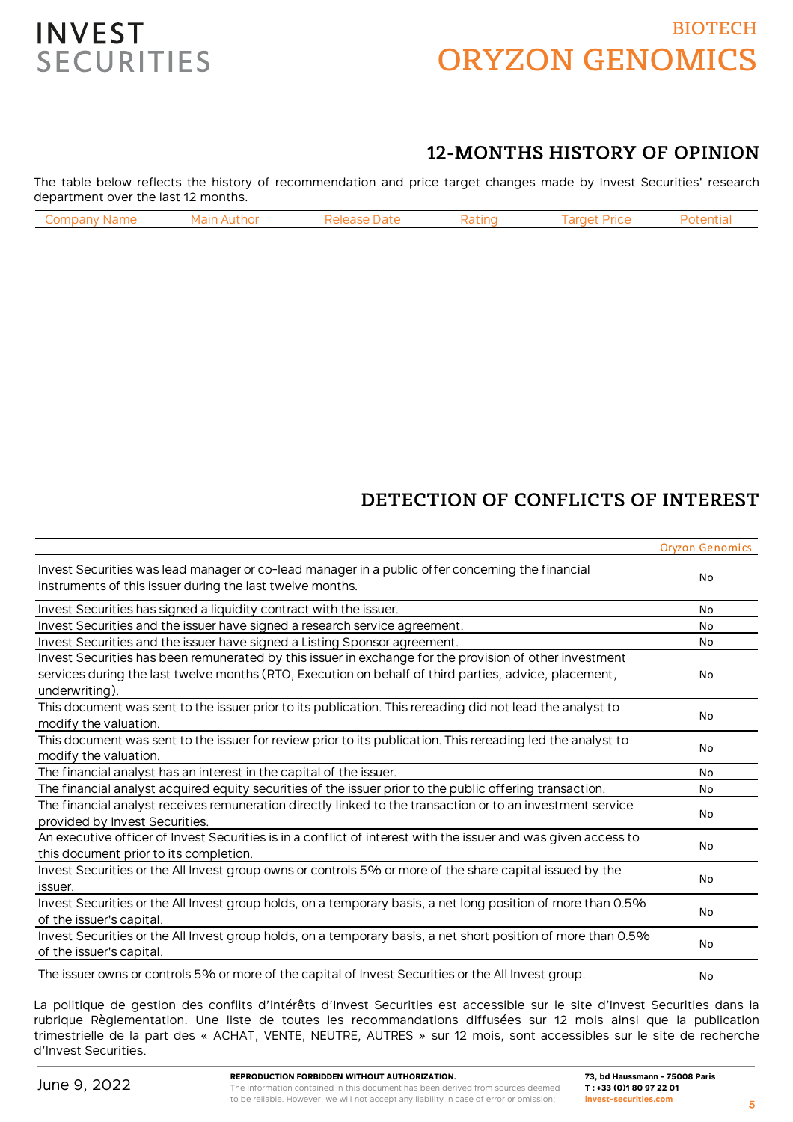# BIOTECH ORYZON GENOMICS



## 12-MONTHS HISTORY OF OPINION

The table below reflects the history of recommendation and price target changes made by Invest Securities' research department over the last 12 months.

| `omn:<br>: Name | ∵hor ∶<br>л | )afr | atinc! | ran.<br>PriC⊾ |  |
|-----------------|-------------|------|--------|---------------|--|
|                 |             |      |        |               |  |

## DETECTION OF CONFLICTS OF INTEREST

|                                                                                                                                                               | <b>Oryzon Genomics</b> |
|---------------------------------------------------------------------------------------------------------------------------------------------------------------|------------------------|
| Invest Securities was lead manager or co-lead manager in a public offer concerning the financial<br>instruments of this issuer during the last twelve months. | No                     |
| Invest Securities has signed a liquidity contract with the issuer.                                                                                            | No                     |
| Invest Securities and the issuer have signed a research service agreement.                                                                                    | No                     |
| Invest Securities and the issuer have signed a Listing Sponsor agreement.                                                                                     | No                     |
| Invest Securities has been remunerated by this issuer in exchange for the provision of other investment                                                       |                        |
| services during the last twelve months (RTO, Execution on behalf of third parties, advice, placement,                                                         | No                     |
| underwriting).                                                                                                                                                |                        |
| This document was sent to the issuer prior to its publication. This rereading did not lead the analyst to                                                     | No                     |
| modify the valuation.                                                                                                                                         |                        |
| This document was sent to the issuer for review prior to its publication. This rereading led the analyst to                                                   | No                     |
| modify the valuation.                                                                                                                                         |                        |
| The financial analyst has an interest in the capital of the issuer.                                                                                           | No                     |
| The financial analyst acquired equity securities of the issuer prior to the public offering transaction.                                                      | <b>No</b>              |
| The financial analyst receives remuneration directly linked to the transaction or to an investment service                                                    | No                     |
| provided by Invest Securities.                                                                                                                                |                        |
| An executive officer of Invest Securities is in a conflict of interest with the issuer and was given access to                                                | No                     |
| this document prior to its completion.                                                                                                                        |                        |
| Invest Securities or the All Invest group owns or controls 5% or more of the share capital issued by the                                                      |                        |
| issuer.                                                                                                                                                       | No                     |
| Invest Securities or the All Invest group holds, on a temporary basis, a net long position of more than 0.5%                                                  | No                     |
| of the issuer's capital.                                                                                                                                      |                        |
| Invest Securities or the All Invest group holds, on a temporary basis, a net short position of more than 0.5%                                                 |                        |
| of the issuer's capital.                                                                                                                                      | No                     |
| The issuer owns or controls 5% or more of the capital of Invest Securities or the All Invest group.                                                           | No                     |

La politique de gestion des conflits d'intérêts d'Invest Securities est accessible sur le site d'Invest Securities dans la rubrique Règlementation. Une liste de toutes les recommandations diffusées sur 12 mois ainsi que la publication trimestrielle de la part des « ACHAT, VENTE, NEUTRE, AUTRES » sur 12 mois, sont accessibles sur le site de recherche d'Invest Securities.